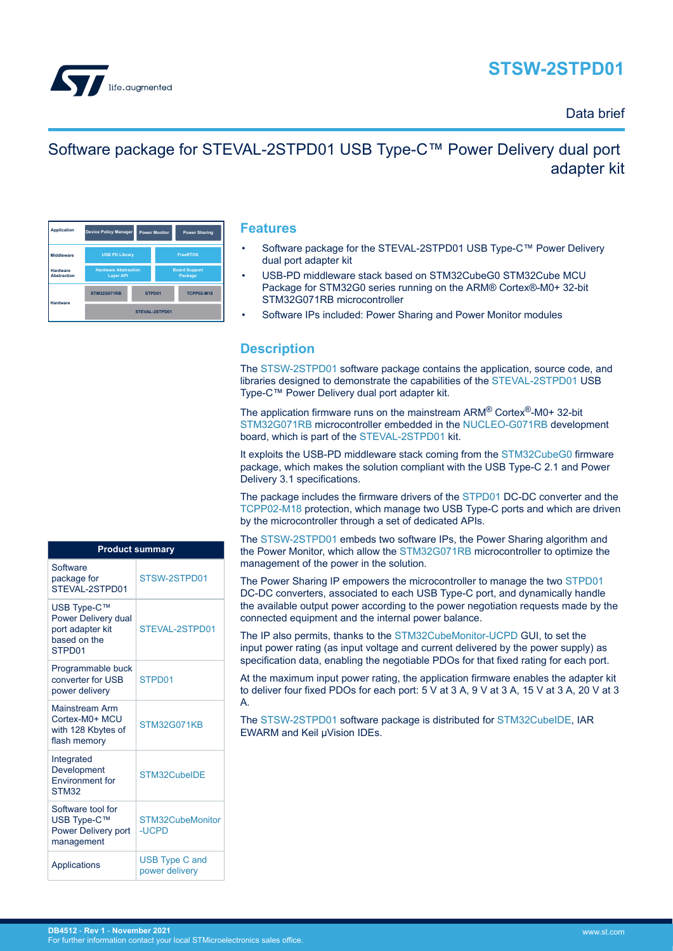# **STSW-2STPD01**



### Data brief

# Software package for STEVAL-2STPD01 USB Type-C™ Power Delivery dual port adapter kit

| <b>Application</b>             | <b>Device Policy Manager</b>                    |        | <b>Power Monitor</b>            | <b>Power Sharing</b> |  |
|--------------------------------|-------------------------------------------------|--------|---------------------------------|----------------------|--|
| Middleware                     | <b>USB PD Library</b>                           |        | <b>FreeRTOS</b>                 |                      |  |
| Hardware<br><b>Abstraction</b> | <b>Hardware Abstraction</b><br><b>Layer API</b> |        | <b>Board Support</b><br>Package |                      |  |
| Hardware                       | <b>STM32G071RB</b>                              | STPD01 |                                 | <b>TCPP02-M18</b>    |  |
|                                | STEVAL-2STPD01                                  |        |                                 |                      |  |

#### **Features**

- Software package for the STEVAL-2STPD01 USB Type-C™ Power Delivery dual port adapter kit
- USB-PD middleware stack based on STM32CubeG0 STM32Cube MCU Package for STM32G0 series running on the ARM® Cortex®-M0+ 32-bit STM32G071RB microcontroller
- Software IPs included: Power Sharing and Power Monitor modules

### **Description**

The [STSW-2STPD01](https://www.st.com/en/product/STSW-2STPD01?ecmp=tt9470_gl_link_feb2019&rt=db&id=DB4512) software package contains the application, source code, and libraries designed to demonstrate the capabilities of the [STEVAL-2STPD01](https://www.st.com/en/product/STEVAL-2STPD01?ecmp=tt9470_gl_link_feb2019&rt=db&id=DB4512) USB Type-C™ Power Delivery dual port adapter kit.

The application firmware runs on the mainstream ARM® Cortex®-M0+ 32-bit [STM32G071RB](https://www.st.com/en/product/stm32g071rb?ecmp=tt9470_gl_link_feb2019&rt=db&id=DB4512) microcontroller embedded in the [NUCLEO-G071RB](https://www.st.com/en/product/nucleo-g071rb?ecmp=tt9470_gl_link_feb2019&rt=db&id=DB4512) development board, which is part of the [STEVAL-2STPD01](https://www.st.com/en/product/STEVAL-2STPD01?ecmp=tt9470_gl_link_feb2019&rt=db&id=DB4512) kit.

It exploits the USB-PD middleware stack coming from the [STM32CubeG0](https://www.st.com/stm32cubeg0) firmware package, which makes the solution compliant with the USB Type-C 2.1 and Power Delivery 3.1 specifications.

The package includes the firmware drivers of the [STPD01](https://www.st.com/en/product/STPD01?ecmp=tt9470_gl_link_feb2019&rt=db&id=DB4512) DC-DC converter and the [TCPP02-M18](https://www.st.com/en/product/TCPP02-M18?ecmp=tt9470_gl_link_feb2019&rt=db&id=DB4512) protection, which manage two USB Type-C ports and which are driven by the microcontroller through a set of dedicated APIs.

The [STSW-2STPD01](https://www.st.com/en/product/STSW-2STPD01?ecmp=tt9470_gl_link_feb2019&rt=db&id=DB4512) embeds two software IPs, the Power Sharing algorithm and the Power Monitor, which allow the [STM32G071RB](https://www.st.com/en/product/stm32g071rb?ecmp=tt9470_gl_link_feb2019&rt=db&id=DB4512) microcontroller to optimize the management of the power in the solution.

The Power Sharing IP empowers the microcontroller to manage the two [STPD01](https://www.st.com/en/product/STPD01?ecmp=tt9470_gl_link_feb2019&rt=db&id=DB4512) DC-DC converters, associated to each USB Type-C port, and dynamically handle the available output power according to the power negotiation requests made by the connected equipment and the internal power balance.

The IP also permits, thanks to the [STM32CubeMonitor-UCPD](https://www.st.com/en/product/stm32cubemonucpd?ecmp=tt9470_gl_link_feb2019&rt=db&id=DB4512) GUI, to set the input power rating (as input voltage and current delivered by the power supply) as specification data, enabling the negotiable PDOs for that fixed rating for each port.

At the maximum input power rating, the application firmware enables the adapter kit to deliver four fixed PDOs for each port: 5 V at 3 A, 9 V at 3 A, 15 V at 3 A, 20 V at 3 A.

The [STSW-2STPD01](https://www.st.com/en/product/STSW-2STPD01?ecmp=tt9470_gl_link_feb2019&rt=db&id=DB4512) software package is distributed for [STM32CubeIDE,](https://www.st.com/stm32cubeide) IAR EWARM and Keil µVision IDEs.

| <b>Product summary</b>                                                           |                                  |  |  |  |
|----------------------------------------------------------------------------------|----------------------------------|--|--|--|
| Software<br>package for<br>STEVAL-2STPD01                                        | STSW-2STPD01                     |  |  |  |
| USB Type-C™<br>Power Delivery dual<br>port adapter kit<br>based on the<br>STPD01 | STEVAL-2STPD01                   |  |  |  |
| Programmable buck<br>converter for USB<br>power delivery                         | STPD01                           |  |  |  |
| Mainstream Arm<br>Cortex-M0+ MCU<br>with 128 Kbytes of<br>flash memory           | <b>STM32G071KB</b>               |  |  |  |
| Integrated<br>Development<br><b>Environment</b> for<br>STM32                     | STM32CubeIDE                     |  |  |  |
| Software tool for<br>USB Type-C™<br>Power Delivery port<br>management            | STM32CubeMonitor<br><b>-UCPD</b> |  |  |  |
| Applications                                                                     | USB Type C and<br>power delivery |  |  |  |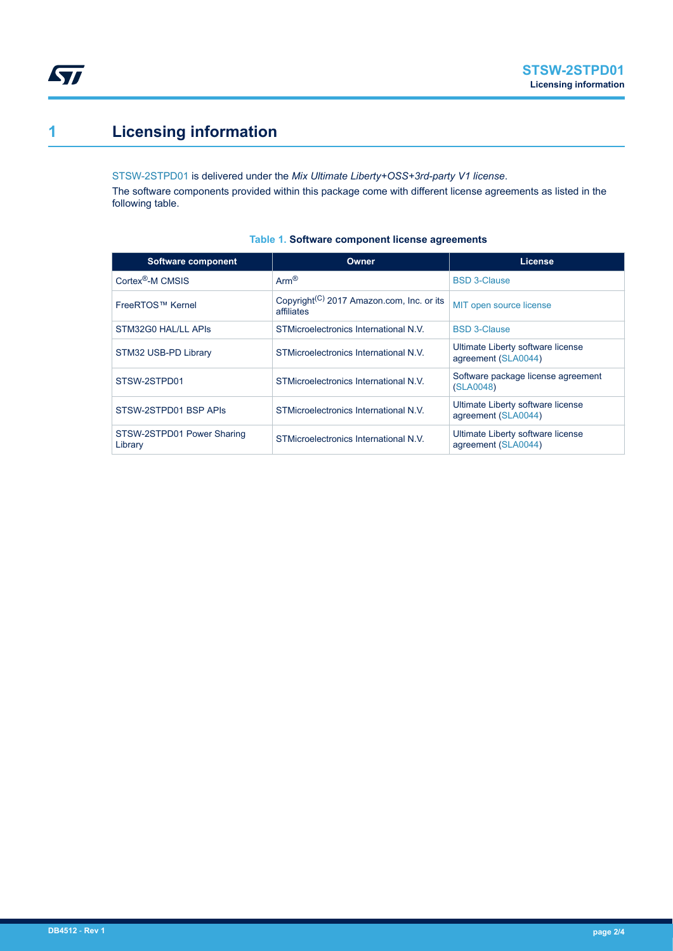# **1 Licensing information**

**STI** 

[STSW-2STPD01](https://www.st.com/en/product/STSW-2STPD01?ecmp=tt9470_gl_link_feb2019&rt=db&id=DB4512) is delivered under the *Mix Ultimate Liberty+OSS+3rd-party V1 license*. The software components provided within this package come with different license agreements as listed in the following table.

| Software component                    | Owner                                                               | <b>License</b>                                           |
|---------------------------------------|---------------------------------------------------------------------|----------------------------------------------------------|
| Cortex <sup>®</sup> -M CMSIS          | $Arm^{\circledR}$                                                   | <b>BSD 3-Clause</b>                                      |
| FreeRTOS™ Kernel                      | Copyright <sup>(C)</sup> 2017 Amazon.com, Inc. or its<br>affiliates | MIT open source license                                  |
| STM32G0 HAL/LL APIS                   | STMicroelectronics International N.V.                               | <b>BSD 3-Clause</b>                                      |
| STM32 USB-PD Library                  | STMicroelectronics International N.V.                               | Ultimate Liberty software license<br>agreement (SLA0044) |
| STSW-2STPD01                          | STMicroelectronics International N.V.                               | Software package license agreement<br>(SLA0048)          |
| STSW-2STPD01 BSP APIS                 | STMicroelectronics International N.V.                               | Ultimate Liberty software license<br>agreement (SLA0044) |
| STSW-2STPD01 Power Sharing<br>Library | STMicroelectronics International N.V.                               | Ultimate Liberty software license<br>agreement (SLA0044) |

#### **Table 1. Software component license agreements**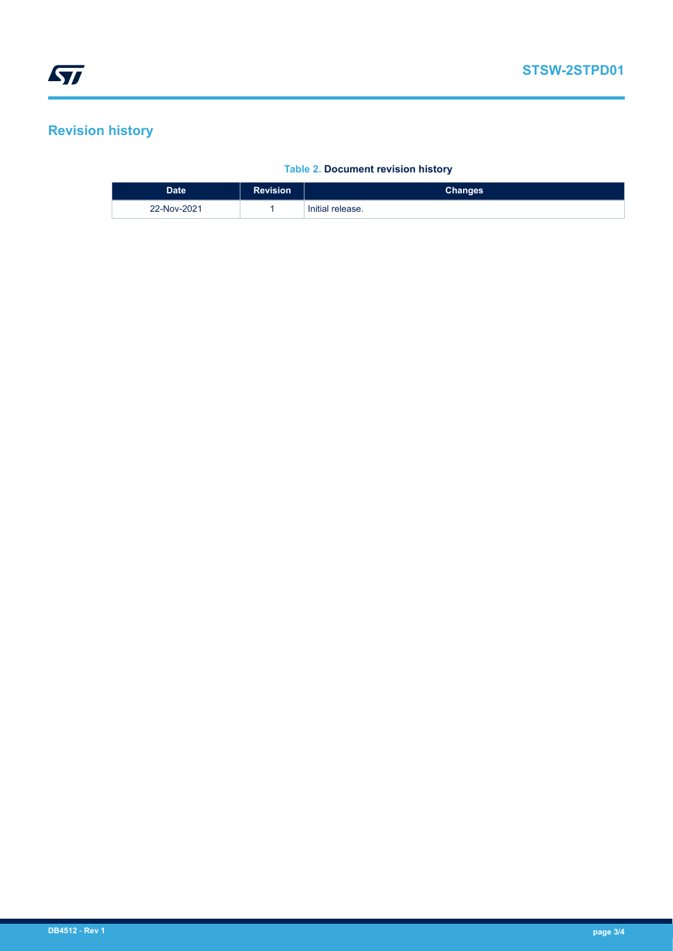### **Revision history**

#### **Table 2. Document revision history**

| <b>Date</b> | <b>Revision</b> | Changes          |
|-------------|-----------------|------------------|
| 22-Nov-2021 |                 | Initial release. |